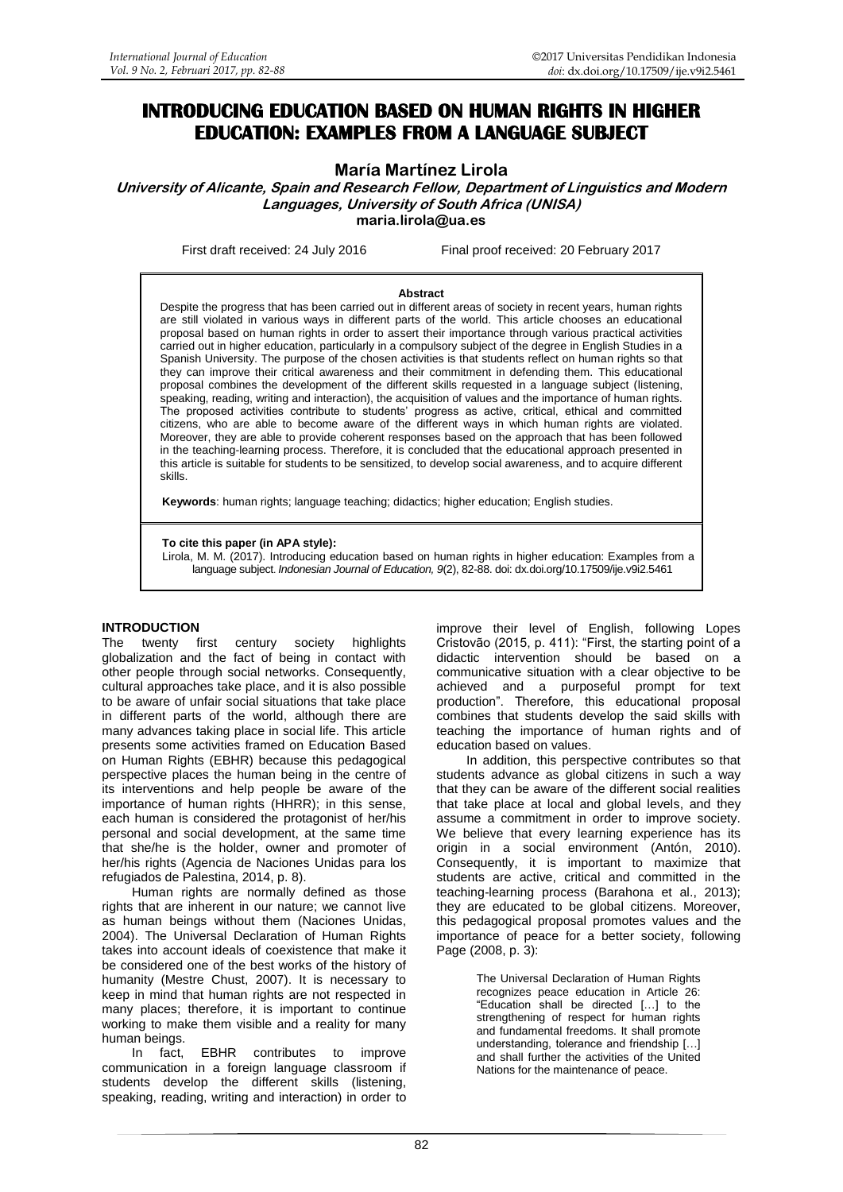# **INTRODUCING EDUCATION BASED ON HUMAN RIGHTS IN HIGHER EDUCATION: EXAMPLES FROM A LANGUAGE SUBJECT**

# **María Martínez Lirola**

**University of Alicante, Spain and Research Fellow, Department of Linguistics and Modern Languages, University of South Africa (UNISA) [maria.lirola@ua.es](mailto:maria.lirola@ua.es)**

First draft received: 24 July 2016 Final proof received: 20 February 2017

#### **Abstract**

Despite the progress that has been carried out in different areas of society in recent years, human rights are still violated in various ways in different parts of the world. This article chooses an educational proposal based on human rights in order to assert their importance through various practical activities carried out in higher education, particularly in a compulsory subject of the degree in English Studies in a Spanish University. The purpose of the chosen activities is that students reflect on human rights so that they can improve their critical awareness and their commitment in defending them. This educational proposal combines the development of the different skills requested in a language subject (listening, speaking, reading, writing and interaction), the acquisition of values and the importance of human rights. The proposed activities contribute to students' progress as active, critical, ethical and committed citizens, who are able to become aware of the different ways in which human rights are violated. Moreover, they are able to provide coherent responses based on the approach that has been followed in the teaching-learning process. Therefore, it is concluded that the educational approach presented in this article is suitable for students to be sensitized, to develop social awareness, and to acquire different skills.

**Keywords**: human rights; language teaching; didactics; higher education; English studies.

#### **To cite this paper (in APA style):**

Lirola, M. M. (2017). Introducing education based on human rights in higher education: Examples from a language subject. *Indonesian Journal of Education, 9*(2), 82-88. doi: [dx.doi.org/10.17509/ije.v9i2.5461](http://dx.doi.org/10.17509/ije.v9i2.5461)

#### **INTRODUCTION**

The twenty first century society highlights globalization and the fact of being in contact with other people through social networks. Consequently, cultural approaches take place, and it is also possible to be aware of unfair social situations that take place in different parts of the world, although there are many advances taking place in social life. This article presents some activities framed on Education Based on Human Rights (EBHR) because this pedagogical perspective places the human being in the centre of its interventions and help people be aware of the importance of human rights (HHRR); in this sense, each human is considered the protagonist of her/his personal and social development, at the same time that she/he is the holder, owner and promoter of her/his rights (Agencia de Naciones Unidas para los refugiados de Palestina, 2014, p. 8).

Human rights are normally defined as those rights that are inherent in our nature; we cannot live as human beings without them (Naciones Unidas, 2004). The Universal Declaration of Human Rights takes into account ideals of coexistence that make it be considered one of the best works of the history of humanity (Mestre Chust, 2007). It is necessary to keep in mind that human rights are not respected in many places; therefore, it is important to continue working to make them visible and a reality for many human beings.

In fact, EBHR contributes to improve communication in a foreign language classroom if students develop the different skills (listening, speaking, reading, writing and interaction) in order to improve their level of English, following Lopes Cristovão (2015, p. 411): "First, the starting point of a didactic intervention should be based on a communicative situation with a clear objective to be achieved and a purposeful prompt for text production". Therefore, this educational proposal combines that students develop the said skills with teaching the importance of human rights and of education based on values.

In addition, this perspective contributes so that students advance as global citizens in such a way that they can be aware of the different social realities that take place at local and global levels, and they assume a commitment in order to improve society. We believe that every learning experience has its origin in a social environment (Antón, 2010). Consequently, it is important to maximize that students are active, critical and committed in the teaching-learning process (Barahona et al., 2013); they are educated to be global citizens. Moreover, this pedagogical proposal promotes values and the importance of peace for a better society, following Page (2008, p. 3):

> The Universal Declaration of Human Rights recognizes peace education in Article 26: "Education shall be directed […] to the strengthening of respect for human rights and fundamental freedoms. It shall promote understanding, tolerance and friendship […] and shall further the activities of the United Nations for the maintenance of peace.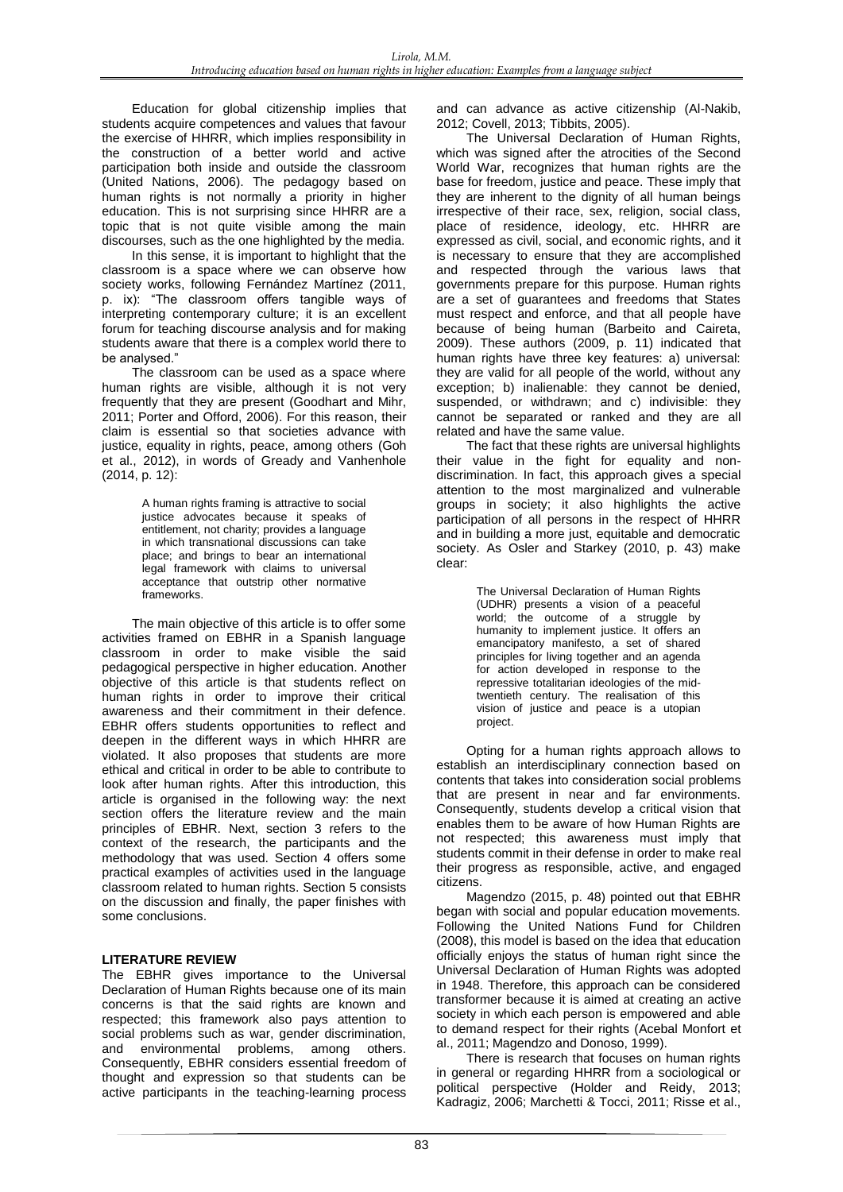Education for global citizenship implies that students acquire competences and values that favour the exercise of HHRR, which implies responsibility in the construction of a better world and active participation both inside and outside the classroom (United Nations, 2006). The pedagogy based on human rights is not normally a priority in higher education. This is not surprising since HHRR are a topic that is not quite visible among the main discourses, such as the one highlighted by the media.

In this sense, it is important to highlight that the classroom is a space where we can observe how society works, following Fernández Martínez (2011, p. ix): "The classroom offers tangible ways of interpreting contemporary culture; it is an excellent forum for teaching discourse analysis and for making students aware that there is a complex world there to be analysed."

The classroom can be used as a space where human rights are visible, although it is not very frequently that they are present (Goodhart and Mihr, 2011; Porter and Offord, 2006). For this reason, their claim is essential so that societies advance with justice, equality in rights, peace, among others (Goh et al., 2012), in words of Gready and Vanhenhole (2014, p. 12):

> A human rights framing is attractive to social justice advocates because it speaks of entitlement, not charity; provides a language in which transnational discussions can take place; and brings to bear an international legal framework with claims to universal acceptance that outstrip other normative frameworks.

The main objective of this article is to offer some activities framed on EBHR in a Spanish language classroom in order to make visible the said pedagogical perspective in higher education. Another objective of this article is that students reflect on human rights in order to improve their critical awareness and their commitment in their defence. EBHR offers students opportunities to reflect and deepen in the different ways in which HHRR are violated. It also proposes that students are more ethical and critical in order to be able to contribute to look after human rights. After this introduction, this article is organised in the following way: the next section offers the literature review and the main principles of EBHR. Next, section 3 refers to the context of the research, the participants and the methodology that was used. Section 4 offers some practical examples of activities used in the language classroom related to human rights. Section 5 consists on the discussion and finally, the paper finishes with some conclusions.

# **LITERATURE REVIEW**

The EBHR gives importance to the Universal Declaration of Human Rights because one of its main concerns is that the said rights are known and respected; this framework also pays attention to social problems such as war, gender discrimination, and environmental problems, among others. Consequently, EBHR considers essential freedom of thought and expression so that students can be active participants in the teaching-learning process

and can advance as active citizenship (Al-Nakib, 2012; Covell, 2013; Tibbits, 2005).

The Universal Declaration of Human Rights, which was signed after the atrocities of the Second World War, recognizes that human rights are the base for freedom, justice and peace. These imply that they are inherent to the dignity of all human beings irrespective of their race, sex, religion, social class, place of residence, ideology, etc. HHRR are expressed as civil, social, and economic rights, and it is necessary to ensure that they are accomplished and respected through the various laws that governments prepare for this purpose. Human rights are a set of guarantees and freedoms that States must respect and enforce, and that all people have because of being human (Barbeito and Caireta, 2009). These authors (2009, p. 11) indicated that human rights have three key features: a) universal: they are valid for all people of the world, without any exception; b) inalienable: they cannot be denied, suspended, or withdrawn; and c) indivisible: they cannot be separated or ranked and they are all related and have the same value.

The fact that these rights are universal highlights their value in the fight for equality and nondiscrimination. In fact, this approach gives a special attention to the most marginalized and vulnerable groups in society; it also highlights the active participation of all persons in the respect of HHRR and in building a more just, equitable and democratic society. As Osler and Starkey (2010, p. 43) make clear:

> The Universal Declaration of Human Rights (UDHR) presents a vision of a peaceful world; the outcome of a struggle by humanity to implement justice. It offers an emancipatory manifesto, a set of shared principles for living together and an agenda for action developed in response to the repressive totalitarian ideologies of the midtwentieth century. The realisation of this vision of justice and peace is a utopian project.

Opting for a human rights approach allows to establish an interdisciplinary connection based on contents that takes into consideration social problems that are present in near and far environments. Consequently, students develop a critical vision that enables them to be aware of how Human Rights are not respected; this awareness must imply that students commit in their defense in order to make real their progress as responsible, active, and engaged citizens.

Magendzo (2015, p. 48) pointed out that EBHR began with social and popular education movements. Following the United Nations Fund for Children (2008), this model is based on the idea that education officially enjoys the status of human right since the Universal Declaration of Human Rights was adopted in 1948. Therefore, this approach can be considered transformer because it is aimed at creating an active society in which each person is empowered and able to demand respect for their rights (Acebal Monfort et al., 2011; Magendzo and Donoso, 1999).

There is research that focuses on human rights in general or regarding HHRR from a sociological or political perspective (Holder and Reidy, 2013; Kadragiz, 2006; Marchetti & Tocci, 2011; Risse et al.,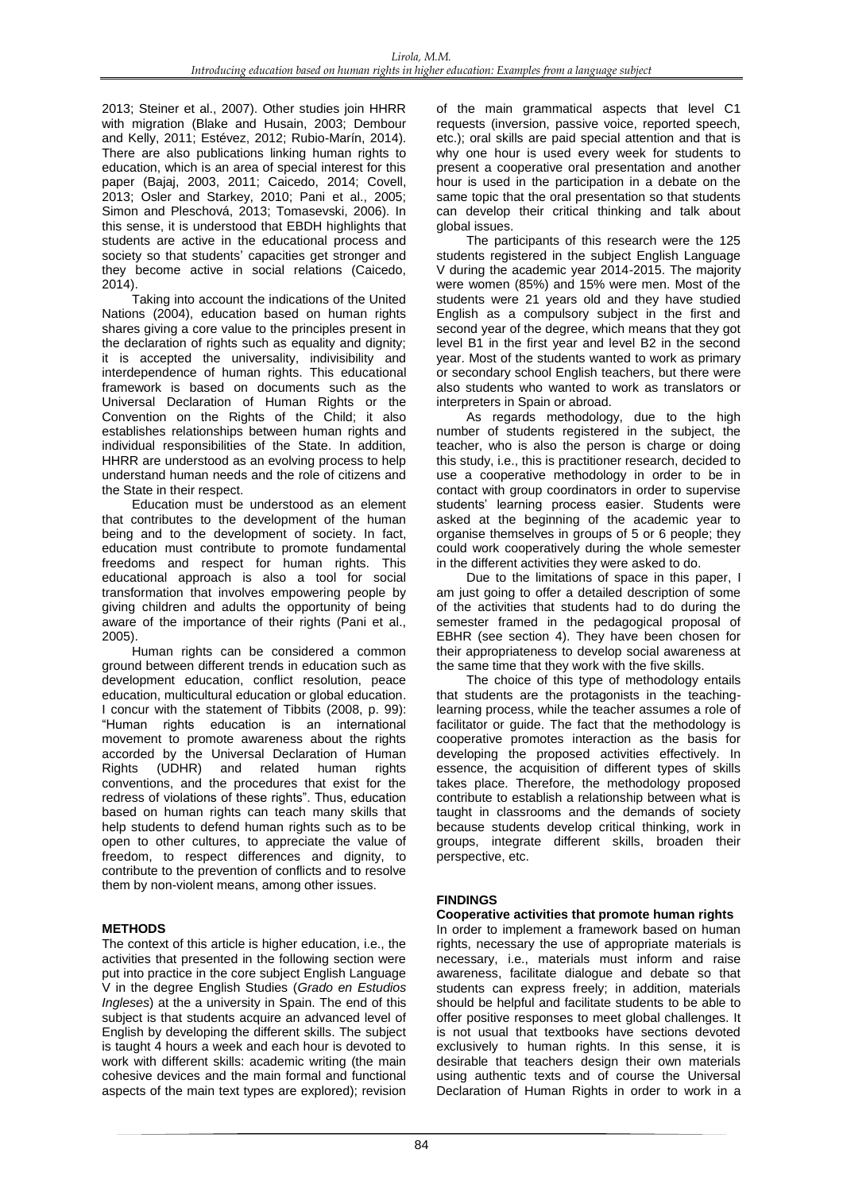2013; Steiner et al., 2007). Other studies join HHRR with migration (Blake and Husain, 2003; Dembour and Kelly, 2011; Estévez, 2012; Rubio-Marín, 2014). There are also publications linking human rights to education, which is an area of special interest for this paper (Bajaj, 2003, 2011; Caicedo, 2014; Covell, 2013; Osler and Starkey, 2010; Pani et al., 2005; Simon and Pleschová, 2013; Tomasevski, 2006). In this sense, it is understood that EBDH highlights that students are active in the educational process and society so that students' capacities get stronger and they become active in social relations (Caicedo, 2014).

Taking into account the indications of the United Nations (2004), education based on human rights shares giving a core value to the principles present in the declaration of rights such as equality and dignity; it is accepted the universality, indivisibility and interdependence of human rights. This educational framework is based on documents such as the Universal Declaration of Human Rights or the Convention on the Rights of the Child; it also establishes relationships between human rights and individual responsibilities of the State. In addition, HHRR are understood as an evolving process to help understand human needs and the role of citizens and the State in their respect.

Education must be understood as an element that contributes to the development of the human being and to the development of society. In fact, education must contribute to promote fundamental freedoms and respect for human rights. This educational approach is also a tool for social transformation that involves empowering people by giving children and adults the opportunity of being aware of the importance of their rights (Pani et al., 2005).

Human rights can be considered a common ground between different trends in education such as development education, conflict resolution, peace education, multicultural education or global education. I concur with the statement of Tibbits (2008, p. 99): "Human rights education is an international movement to promote awareness about the rights accorded by the Universal Declaration of Human Rights (UDHR) and related human rights conventions, and the procedures that exist for the redress of violations of these rights". Thus, education based on human rights can teach many skills that help students to defend human rights such as to be open to other cultures, to appreciate the value of freedom, to respect differences and dignity, to contribute to the prevention of conflicts and to resolve them by non-violent means, among other issues.

# **METHODS**

The context of this article is higher education, i.e., the activities that presented in the following section were put into practice in the core subject English Language V in the degree English Studies (*Grado en Estudios Ingleses*) at the a university in Spain. The end of this subject is that students acquire an advanced level of English by developing the different skills. The subject is taught 4 hours a week and each hour is devoted to work with different skills: academic writing (the main cohesive devices and the main formal and functional aspects of the main text types are explored); revision

of the main grammatical aspects that level C1 requests (inversion, passive voice, reported speech, etc.); oral skills are paid special attention and that is why one hour is used every week for students to present a cooperative oral presentation and another hour is used in the participation in a debate on the same topic that the oral presentation so that students can develop their critical thinking and talk about global issues.

The participants of this research were the 125 students registered in the subject English Language V during the academic year 2014-2015. The majority were women (85%) and 15% were men. Most of the students were 21 years old and they have studied English as a compulsory subject in the first and second year of the degree, which means that they got level B1 in the first year and level B2 in the second year. Most of the students wanted to work as primary or secondary school English teachers, but there were also students who wanted to work as translators or interpreters in Spain or abroad.

As regards methodology, due to the high number of students registered in the subject, the teacher, who is also the person is charge or doing this study, i.e., this is practitioner research, decided to use a cooperative methodology in order to be in contact with group coordinators in order to supervise students' learning process easier. Students were asked at the beginning of the academic year to organise themselves in groups of 5 or 6 people; they could work cooperatively during the whole semester in the different activities they were asked to do.

Due to the limitations of space in this paper, I am just going to offer a detailed description of some of the activities that students had to do during the semester framed in the pedagogical proposal of EBHR (see section 4). They have been chosen for their appropriateness to develop social awareness at the same time that they work with the five skills.

The choice of this type of methodology entails that students are the protagonists in the teachinglearning process, while the teacher assumes a role of facilitator or guide. The fact that the methodology is cooperative promotes interaction as the basis for developing the proposed activities effectively. In essence, the acquisition of different types of skills takes place. Therefore, the methodology proposed contribute to establish a relationship between what is taught in classrooms and the demands of society because students develop critical thinking, work in groups, integrate different skills, broaden their perspective, etc.

# **FINDINGS**

# **Cooperative activities that promote human rights**

In order to implement a framework based on human rights, necessary the use of appropriate materials is necessary, i.e., materials must inform and raise awareness, facilitate dialogue and debate so that students can express freely; in addition, materials should be helpful and facilitate students to be able to offer positive responses to meet global challenges. It is not usual that textbooks have sections devoted exclusively to human rights. In this sense, it is desirable that teachers design their own materials using authentic texts and of course the Universal Declaration of Human Rights in order to work in a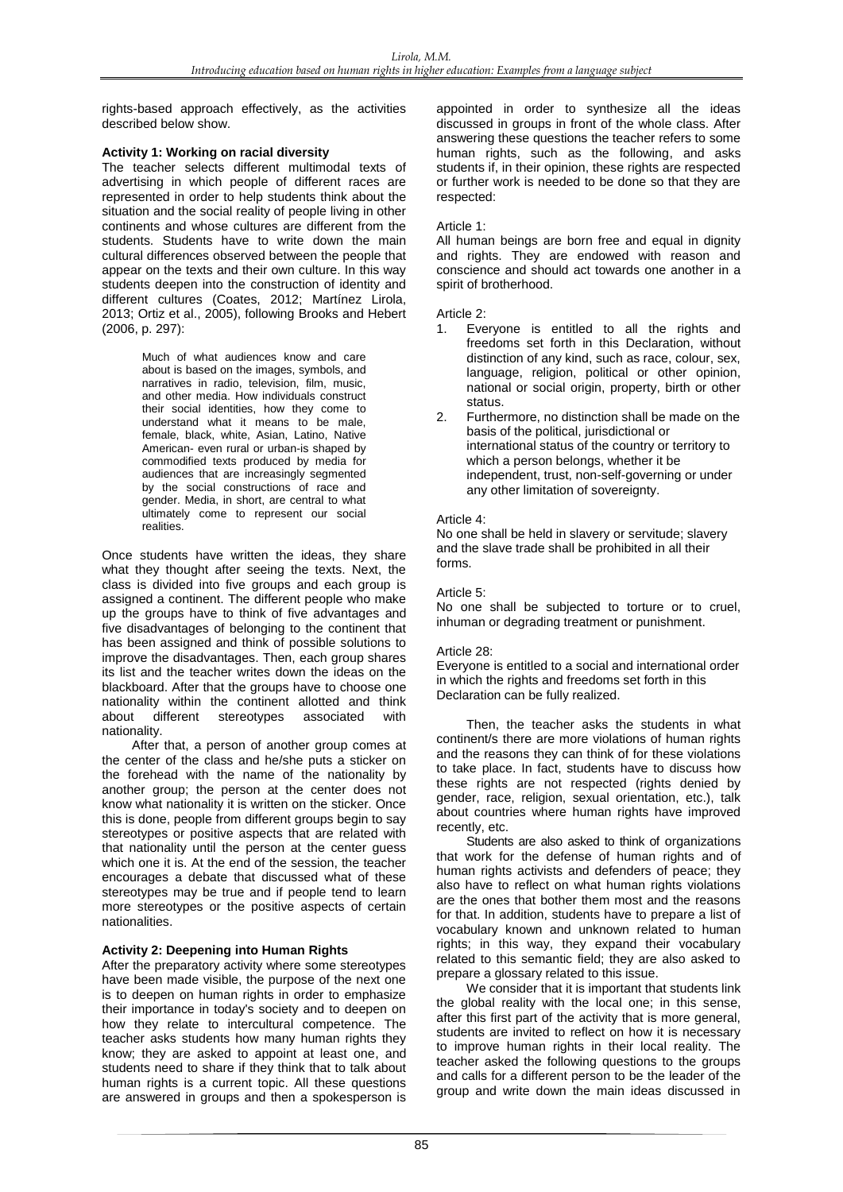rights-based approach effectively, as the activities described below show.

### **Activity 1: Working on racial diversity**

The teacher selects different multimodal texts of advertising in which people of different races are represented in order to help students think about the situation and the social reality of people living in other continents and whose cultures are different from the students. Students have to write down the main cultural differences observed between the people that appear on the texts and their own culture. In this way students deepen into the construction of identity and different cultures (Coates, 2012; Martínez Lirola, 2013; Ortiz et al., 2005), following Brooks and Hebert (2006, p. 297):

> Much of what audiences know and care about is based on the images, symbols, and narratives in radio, television, film, music, and other media. How individuals construct their social identities, how they come to understand what it means to be male, female, black, white, Asian, Latino, Native American- even rural or urban-is shaped by commodified texts produced by media for audiences that are increasingly segmented by the social constructions of race and gender. Media, in short, are central to what ultimately come to represent our social realities.

Once students have written the ideas, they share what they thought after seeing the texts. Next, the class is divided into five groups and each group is assigned a continent. The different people who make up the groups have to think of five advantages and five disadvantages of belonging to the continent that has been assigned and think of possible solutions to improve the disadvantages. Then, each group shares its list and the teacher writes down the ideas on the blackboard. After that the groups have to choose one nationality within the continent allotted and think about different stereotypes associated with nationality.

After that, a person of another group comes at the center of the class and he/she puts a sticker on the forehead with the name of the nationality by another group; the person at the center does not know what nationality it is written on the sticker. Once this is done, people from different groups begin to say stereotypes or positive aspects that are related with that nationality until the person at the center guess which one it is. At the end of the session, the teacher encourages a debate that discussed what of these stereotypes may be true and if people tend to learn more stereotypes or the positive aspects of certain nationalities.

#### **Activity 2: Deepening into Human Rights**

After the preparatory activity where some stereotypes have been made visible, the purpose of the next one is to deepen on human rights in order to emphasize their importance in today's society and to deepen on how they relate to intercultural competence. The teacher asks students how many human rights they know; they are asked to appoint at least one, and students need to share if they think that to talk about human rights is a current topic. All these questions are answered in groups and then a spokesperson is

appointed in order to synthesize all the ideas discussed in groups in front of the whole class. After answering these questions the teacher refers to some human rights, such as the following, and asks students if, in their opinion, these rights are respected or further work is needed to be done so that they are respected:

#### Article 1:

All human beings are born free and equal in dignity and rights. They are endowed with reason and conscience and should act towards one another in a spirit of brotherhood.

#### Article 2:

- 1. Everyone is entitled to all the rights and freedoms set forth in this Declaration, without distinction of any kind, such as race, colour, sex, language, religion, political or other opinion, national or social origin, property, birth or other status.
- 2. Furthermore, no distinction shall be made on the basis of the political, jurisdictional or international status of the country or territory to which a person belongs, whether it be independent, trust, non-self-governing or under any other limitation of sovereignty.

#### Article 4:

No one shall be held in slavery or servitude; slavery and the slave trade shall be prohibited in all their forms.

#### Article 5:

No one shall be subjected to torture or to cruel, inhuman or degrading treatment or punishment.

#### Article 28:

Everyone is entitled to a social and international order in which the rights and freedoms set forth in this Declaration can be fully realized.

Then, the teacher asks the students in what continent/s there are more violations of human rights and the reasons they can think of for these violations to take place. In fact, students have to discuss how these rights are not respected (rights denied by gender, race, religion, sexual orientation, etc.), talk about countries where human rights have improved recently, etc.

Students are also asked to think of organizations that work for the defense of human rights and of human rights activists and defenders of peace; they also have to reflect on what human rights violations are the ones that bother them most and the reasons for that. In addition, students have to prepare a list of vocabulary known and unknown related to human rights; in this way, they expand their vocabulary related to this semantic field; they are also asked to prepare a glossary related to this issue.

We consider that it is important that students link the global reality with the local one; in this sense, after this first part of the activity that is more general, students are invited to reflect on how it is necessary to improve human rights in their local reality. The teacher asked the following questions to the groups and calls for a different person to be the leader of the group and write down the main ideas discussed in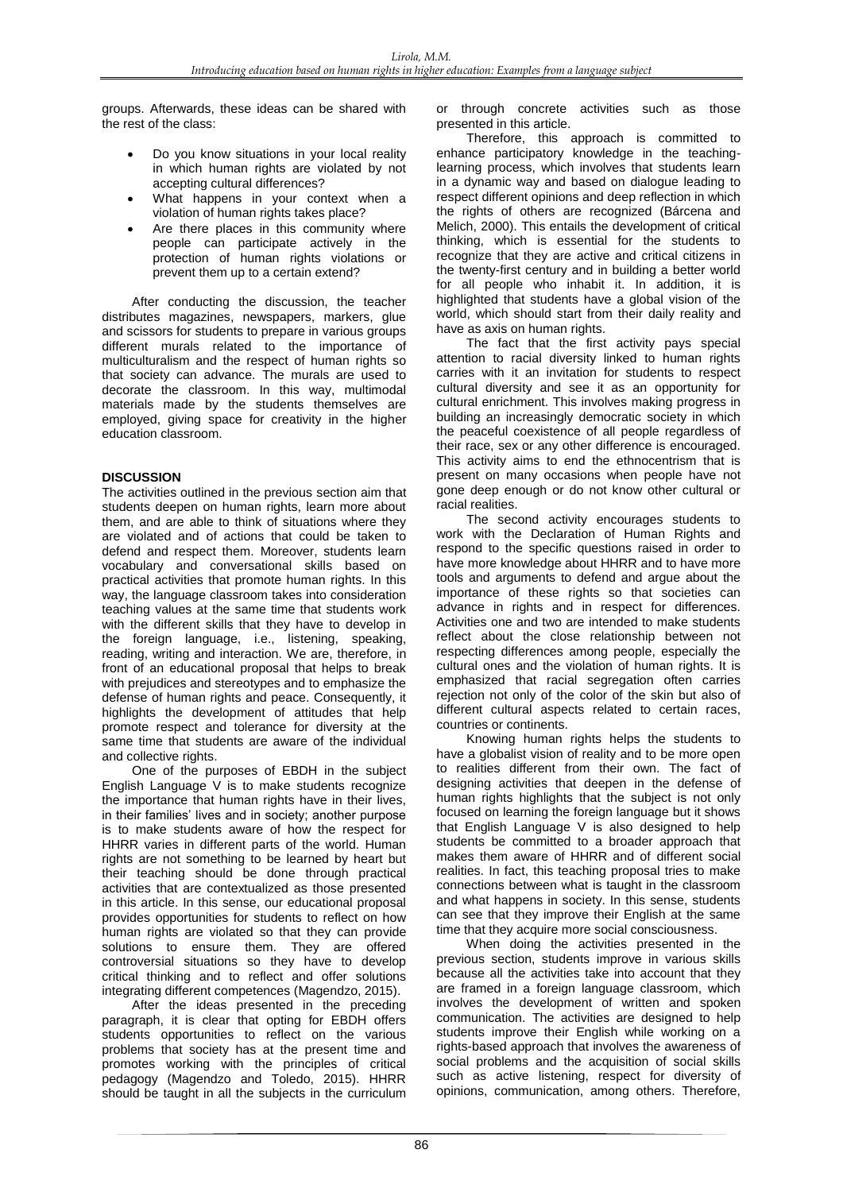groups. Afterwards, these ideas can be shared with the rest of the class:

- Do you know situations in your local reality in which human rights are violated by not accepting cultural differences?
- What happens in your context when a violation of human rights takes place?
- Are there places in this community where people can participate actively in the protection of human rights violations or prevent them up to a certain extend?

After conducting the discussion, the teacher distributes magazines, newspapers, markers, glue and scissors for students to prepare in various groups different murals related to the importance of multiculturalism and the respect of human rights so that society can advance. The murals are used to decorate the classroom. In this way, multimodal materials made by the students themselves are employed, giving space for creativity in the higher education classroom.

# **DISCUSSION**

The activities outlined in the previous section aim that students deepen on human rights, learn more about them, and are able to think of situations where they are violated and of actions that could be taken to defend and respect them. Moreover, students learn vocabulary and conversational skills based on practical activities that promote human rights. In this way, the language classroom takes into consideration teaching values at the same time that students work with the different skills that they have to develop in the foreign language, i.e., listening, speaking, reading, writing and interaction. We are, therefore, in front of an educational proposal that helps to break with prejudices and stereotypes and to emphasize the defense of human rights and peace. Consequently, it highlights the development of attitudes that help promote respect and tolerance for diversity at the same time that students are aware of the individual and collective rights.

One of the purposes of EBDH in the subject English Language V is to make students recognize the importance that human rights have in their lives, in their families' lives and in society; another purpose is to make students aware of how the respect for HHRR varies in different parts of the world. Human rights are not something to be learned by heart but their teaching should be done through practical activities that are contextualized as those presented in this article. In this sense, our educational proposal provides opportunities for students to reflect on how human rights are violated so that they can provide solutions to ensure them. They are offered controversial situations so they have to develop critical thinking and to reflect and offer solutions integrating different competences (Magendzo, 2015).

After the ideas presented in the preceding paragraph, it is clear that opting for EBDH offers students opportunities to reflect on the various problems that society has at the present time and promotes working with the principles of critical pedagogy (Magendzo and Toledo, 2015). HHRR should be taught in all the subjects in the curriculum

or through concrete activities such as those presented in this article.

Therefore, this approach is committed to enhance participatory knowledge in the teachinglearning process, which involves that students learn in a dynamic way and based on dialogue leading to respect different opinions and deep reflection in which the rights of others are recognized (Bárcena and Melich, 2000). This entails the development of critical thinking, which is essential for the students to recognize that they are active and critical citizens in the twenty-first century and in building a better world for all people who inhabit it. In addition, it is highlighted that students have a global vision of the world, which should start from their daily reality and have as axis on human rights.

The fact that the first activity pays special attention to racial diversity linked to human rights carries with it an invitation for students to respect cultural diversity and see it as an opportunity for cultural enrichment. This involves making progress in building an increasingly democratic society in which the peaceful coexistence of all people regardless of their race, sex or any other difference is encouraged. This activity aims to end the ethnocentrism that is present on many occasions when people have not gone deep enough or do not know other cultural or racial realities.

The second activity encourages students to work with the Declaration of Human Rights and respond to the specific questions raised in order to have more knowledge about HHRR and to have more tools and arguments to defend and argue about the importance of these rights so that societies can advance in rights and in respect for differences. Activities one and two are intended to make students reflect about the close relationship between not respecting differences among people, especially the cultural ones and the violation of human rights. It is emphasized that racial segregation often carries rejection not only of the color of the skin but also of different cultural aspects related to certain races, countries or continents.

Knowing human rights helps the students to have a globalist vision of reality and to be more open to realities different from their own. The fact of designing activities that deepen in the defense of human rights highlights that the subject is not only focused on learning the foreign language but it shows that English Language V is also designed to help students be committed to a broader approach that makes them aware of HHRR and of different social realities. In fact, this teaching proposal tries to make connections between what is taught in the classroom and what happens in society. In this sense, students can see that they improve their English at the same time that they acquire more social consciousness.

When doing the activities presented in the previous section, students improve in various skills because all the activities take into account that they are framed in a foreign language classroom, which involves the development of written and spoken communication. The activities are designed to help students improve their English while working on a rights-based approach that involves the awareness of social problems and the acquisition of social skills such as active listening, respect for diversity of opinions, communication, among others. Therefore,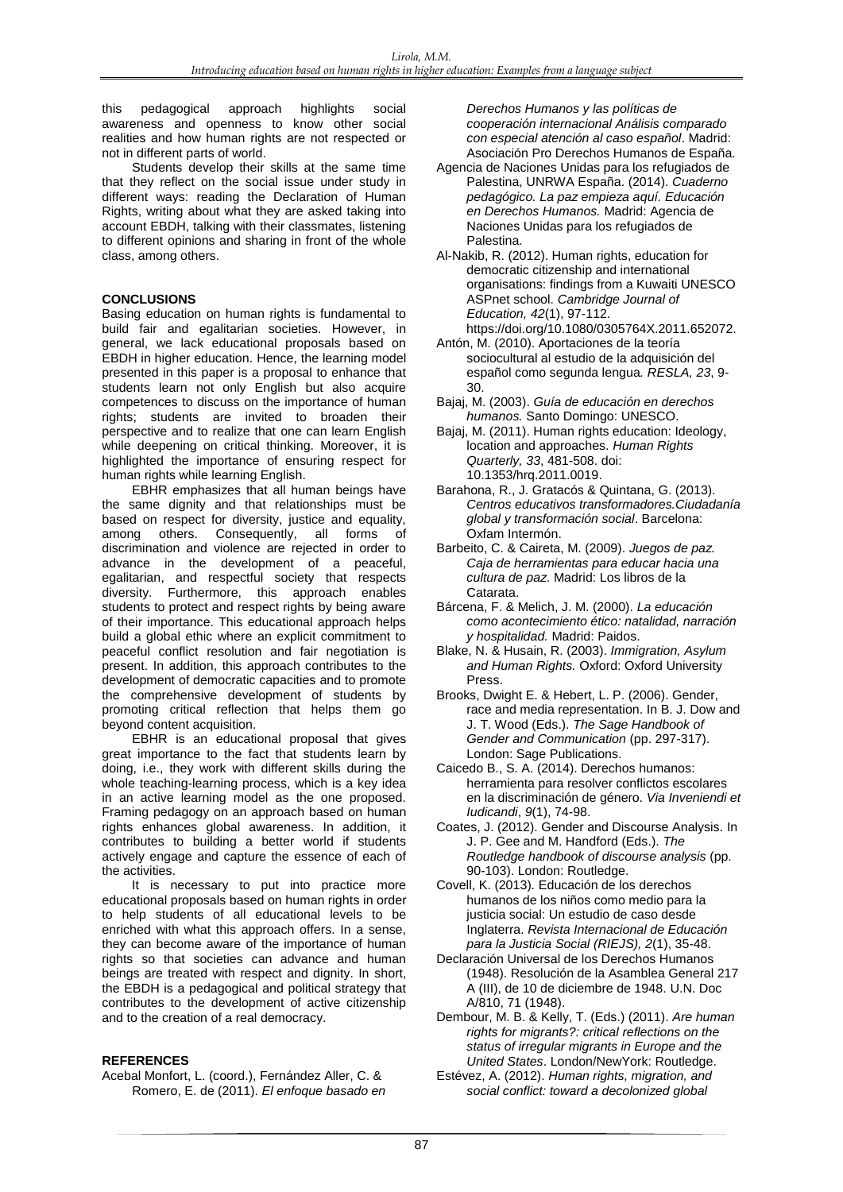this pedagogical approach highlights social awareness and openness to know other social realities and how human rights are not respected or not in different parts of world.

Students develop their skills at the same time that they reflect on the social issue under study in different ways: reading the Declaration of Human Rights, writing about what they are asked taking into account EBDH, talking with their classmates, listening to different opinions and sharing in front of the whole class, among others.

### **CONCLUSIONS**

Basing education on human rights is fundamental to build fair and egalitarian societies. However, in general, we lack educational proposals based on EBDH in higher education. Hence, the learning model presented in this paper is a proposal to enhance that students learn not only English but also acquire competences to discuss on the importance of human rights; students are invited to broaden their perspective and to realize that one can learn English while deepening on critical thinking. Moreover, it is highlighted the importance of ensuring respect for human rights while learning English.

EBHR emphasizes that all human beings have the same dignity and that relationships must be based on respect for diversity, justice and equality, among others. Consequently, all forms of discrimination and violence are rejected in order to advance in the development of a peaceful, egalitarian, and respectful society that respects diversity. Furthermore, this approach enables students to protect and respect rights by being aware of their importance. This educational approach helps build a global ethic where an explicit commitment to peaceful conflict resolution and fair negotiation is present. In addition, this approach contributes to the development of democratic capacities and to promote the comprehensive development of students by promoting critical reflection that helps them go beyond content acquisition.

EBHR is an educational proposal that gives great importance to the fact that students learn by doing, i.e., they work with different skills during the whole teaching-learning process, which is a key idea in an active learning model as the one proposed. Framing pedagogy on an approach based on human rights enhances global awareness. In addition, it contributes to building a better world if students actively engage and capture the essence of each of the activities.

It is necessary to put into practice more educational proposals based on human rights in order to help students of all educational levels to be enriched with what this approach offers. In a sense, they can become aware of the importance of human rights so that societies can advance and human beings are treated with respect and dignity. In short, the EBDH is a pedagogical and political strategy that contributes to the development of active citizenship and to the creation of a real democracy.

#### **REFERENCES**

Acebal Monfort, L. (coord.), Fernández Aller, C. & Romero, E. de (2011). *El enfoque basado en*  *Derechos Humanos y las políticas de cooperación internacional Análisis comparado con especial atención al caso español*. Madrid: Asociación Pro Derechos Humanos de España.

- Agencia de Naciones Unidas para los refugiados de Palestina, UNRWA España. (2014). *Cuaderno pedagógico. La paz empieza aquí. Educación en Derechos Humanos.* Madrid: Agencia de Naciones Unidas para los refugiados de Palestina.
- Al-Nakib, R. (2012). Human rights, education for democratic citizenship and international organisations: findings from a Kuwaiti UNESCO ASPnet school. *Cambridge Journal of Education, 42*(1), 97-112.
- https://doi.org/10.1080/0305764X.2011.652072. Antón, M. (2010). Aportaciones de la teoría sociocultural al estudio de la adquisición del
- español como segunda lengua*. RESLA, 23*, 9- 30.
- Bajaj, M. (2003). *Guía de educación en derechos humanos.* Santo Domingo: UNESCO.
- Bajaj, M. (2011). Human rights education: Ideology, location and approaches. *Human Rights Quarterly, 33*, 481-508. doi: 10.1353/hrq.2011.0019.
- Barahona, R., J. Gratacós & Quintana, G. (2013). *Centros educativos transformadores.Ciudadanía global y transformación social*. Barcelona: Oxfam Intermón.
- Barbeito, C. & Caireta, M. (2009). *Juegos de paz. Caja de herramientas para educar hacia una cultura de paz*. Madrid: Los libros de la Catarata.
- Bárcena, F. & Melich, J. M. (2000). *La educación como acontecimiento ético: natalidad, narración y hospitalidad.* Madrid: Paidos.
- Blake, N. & Husain, R. (2003). *Immigration, Asylum and Human Rights.* Oxford: Oxford University Press.
- Brooks, Dwight E. & Hebert, L. P. (2006). Gender, race and media representation. In B. J. Dow and J. T. Wood (Eds.). *The Sage Handbook of Gender and Communication* (pp. 297-317). London: Sage Publications.
- Caicedo B., S. A. (2014). Derechos humanos: herramienta para resolver conflictos escolares en la discriminación de género. *Via Inveniendi et Iudicandi*, *9*(1), 74-98.
- Coates, J. (2012). Gender and Discourse Analysis. In J. P. Gee and M. Handford (Eds.). *The Routledge handbook of discourse analysis* (pp. 90-103). London: Routledge.
- Covell, K. (2013). Educación de los derechos humanos de los niños como medio para la justicia social: Un estudio de caso desde Inglaterra. *Revista Internacional de Educación para la Justicia Social (RIEJS), 2*(1), 35-48.
- Declaración Universal de los Derechos Humanos (1948). Resolución de la Asamblea General 217 A (III), de 10 de diciembre de 1948. U.N. Doc A/810, 71 (1948).
- Dembour, M. B. & Kelly, T. (Eds.) (2011). *Are human rights for migrants?: critical reflections on the status of irregular migrants in Europe and the United States*. London/NewYork: Routledge.
- Estévez, A. (2012). *Human rights, migration, and social conflict: toward a decolonized global*